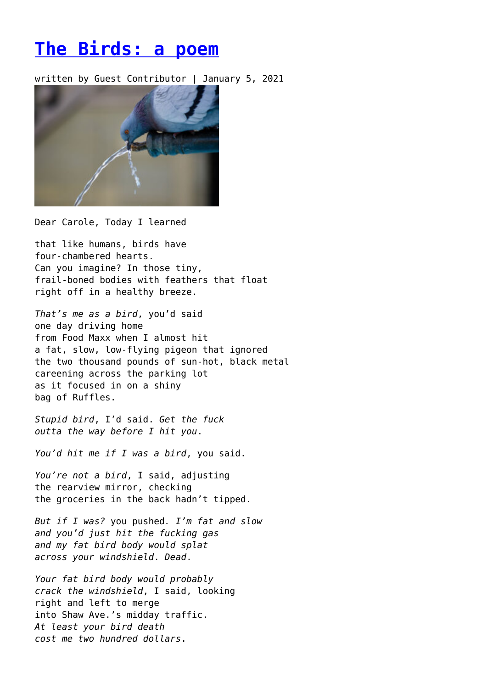## **[The Birds: a poem](https://entropymag.org/65876-2/)**

written by Guest Contributor | January 5, 2021



Dear Carole, Today I learned

that like humans, birds have four-chambered hearts. Can you imagine? In those tiny, frail-boned bodies with feathers that float right off in a healthy breeze.

*That's me as a bird*, you'd said one day driving home from Food Maxx when I almost hit a fat, slow, low-flying pigeon that ignored the two thousand pounds of sun-hot, black metal careening across the parking lot as it focused in on a shiny bag of Ruffles.

*Stupid bird*, I'd said. *Get the fuck outta the way before I hit you*.

*You'd hit me if I was a bird*, you said.

*You're not a bird*, I said, adjusting the rearview mirror, checking the groceries in the back hadn't tipped.

*But if I was?* you pushed*. I'm fat and slow and you'd just hit the fucking gas and my fat bird body would splat across your windshield*. *Dead*.

*Your fat bird body would probably crack the windshield*, I said, looking right and left to merge into Shaw Ave.'s midday traffic. *At least your bird death cost me two hundred dollars*.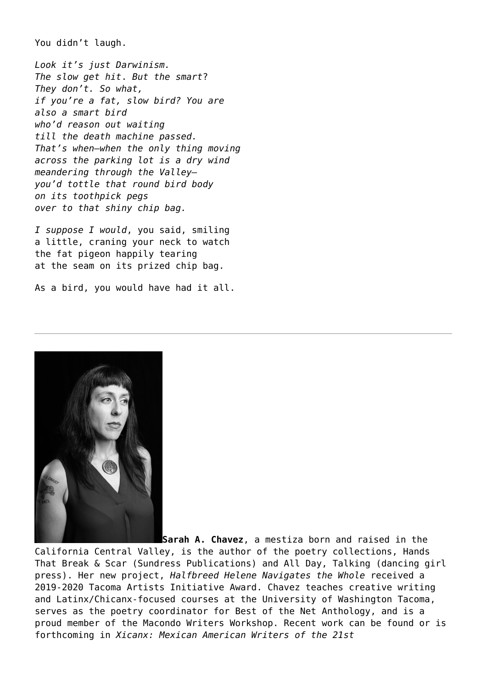You didn't laugh.

*Look it's just Darwinism. The slow get hit*. *But the smart*? *They don't. So what, if you're a fat, slow bird? You are also a smart bird who'd reason out waiting till the death machine passed. That's when—when the only thing moving across the parking lot is a dry wind meandering through the Valley you'd tottle that round bird body on its toothpick pegs over to that shiny chip bag.*

*I suppose I would*, you said, smiling a little, craning your neck to watch the fat pigeon happily tearing at the seam on its prized chip bag.

As a bird, you would have had it all.



**Sarah A. Chavez**, a mestiza born and raised in the

California Central Valley, is the author of the poetry collections, Hands That Break & Scar (Sundress Publications) and All Day, Talking (dancing girl press). Her new project, *Halfbreed Helene Navigates the Whole* received a 2019-2020 Tacoma Artists Initiative Award. Chavez teaches creative writing and Latinx/Chicanx-focused courses at the University of Washington Tacoma, serves as the poetry coordinator for Best of the Net Anthology, and is a proud member of the Macondo Writers Workshop. Recent work can be found or is forthcoming in *Xicanx: Mexican American Writers of the 21st*